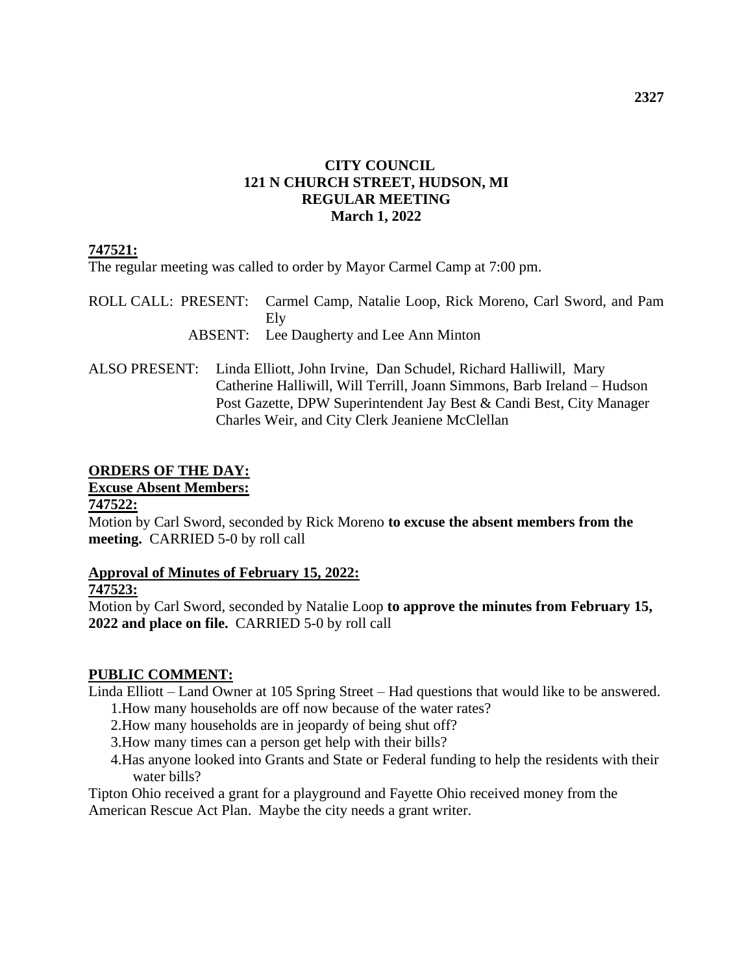## **CITY COUNCIL 121 N CHURCH STREET, HUDSON, MI REGULAR MEETING March 1, 2022**

## **747521:**

The regular meeting was called to order by Mayor Carmel Camp at 7:00 pm.

ROLL CALL: PRESENT: Carmel Camp, Natalie Loop, Rick Moreno, Carl Sword, and Pam Ely ABSENT: Lee Daugherty and Lee Ann Minton

ALSO PRESENT: Linda Elliott, John Irvine, Dan Schudel, Richard Halliwill, Mary Catherine Halliwill, Will Terrill, Joann Simmons, Barb Ireland – Hudson Post Gazette, DPW Superintendent Jay Best & Candi Best, City Manager Charles Weir, and City Clerk Jeaniene McClellan

## **ORDERS OF THE DAY:**

**Excuse Absent Members:**

#### **747522:**

Motion by Carl Sword, seconded by Rick Moreno **to excuse the absent members from the meeting.** CARRIED 5-0 by roll call

### **Approval of Minutes of February 15, 2022:**

### **747523:**

Motion by Carl Sword, seconded by Natalie Loop **to approve the minutes from February 15, 2022 and place on file.** CARRIED 5-0 by roll call

### **PUBLIC COMMENT:**

Linda Elliott – Land Owner at 105 Spring Street – Had questions that would like to be answered.

- 1.How many households are off now because of the water rates?
- 2.How many households are in jeopardy of being shut off?
- 3.How many times can a person get help with their bills?
- 4.Has anyone looked into Grants and State or Federal funding to help the residents with their water bills?

Tipton Ohio received a grant for a playground and Fayette Ohio received money from the American Rescue Act Plan. Maybe the city needs a grant writer.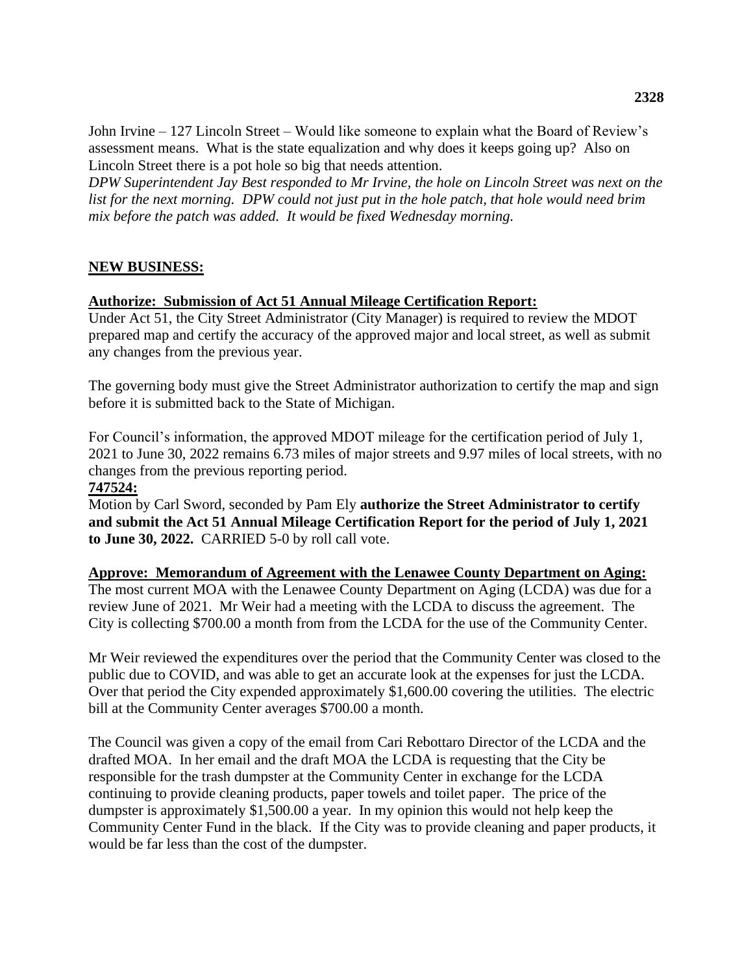John Irvine – 127 Lincoln Street – Would like someone to explain what the Board of Review's assessment means. What is the state equalization and why does it keeps going up? Also on Lincoln Street there is a pot hole so big that needs attention.

*DPW Superintendent Jay Best responded to Mr Irvine, the hole on Lincoln Street was next on the list for the next morning. DPW could not just put in the hole patch, that hole would need brim mix before the patch was added. It would be fixed Wednesday morning.*

## **NEW BUSINESS:**

### **Authorize: Submission of Act 51 Annual Mileage Certification Report:**

Under Act 51, the City Street Administrator (City Manager) is required to review the MDOT prepared map and certify the accuracy of the approved major and local street, as well as submit any changes from the previous year.

The governing body must give the Street Administrator authorization to certify the map and sign before it is submitted back to the State of Michigan.

For Council's information, the approved MDOT mileage for the certification period of July 1, 2021 to June 30, 2022 remains 6.73 miles of major streets and 9.97 miles of local streets, with no changes from the previous reporting period.

### **747524:**

Motion by Carl Sword, seconded by Pam Ely **authorize the Street Administrator to certify and submit the Act 51 Annual Mileage Certification Report for the period of July 1, 2021 to June 30, 2022.** CARRIED 5-0 by roll call vote.

### **Approve: Memorandum of Agreement with the Lenawee County Department on Aging:**

The most current MOA with the Lenawee County Department on Aging (LCDA) was due for a review June of 2021. Mr Weir had a meeting with the LCDA to discuss the agreement. The City is collecting \$700.00 a month from from the LCDA for the use of the Community Center.

Mr Weir reviewed the expenditures over the period that the Community Center was closed to the public due to COVID, and was able to get an accurate look at the expenses for just the LCDA. Over that period the City expended approximately \$1,600.00 covering the utilities. The electric bill at the Community Center averages \$700.00 a month.

The Council was given a copy of the email from Cari Rebottaro Director of the LCDA and the drafted MOA. In her email and the draft MOA the LCDA is requesting that the City be responsible for the trash dumpster at the Community Center in exchange for the LCDA continuing to provide cleaning products, paper towels and toilet paper. The price of the dumpster is approximately \$1,500.00 a year. In my opinion this would not help keep the Community Center Fund in the black. If the City was to provide cleaning and paper products, it would be far less than the cost of the dumpster.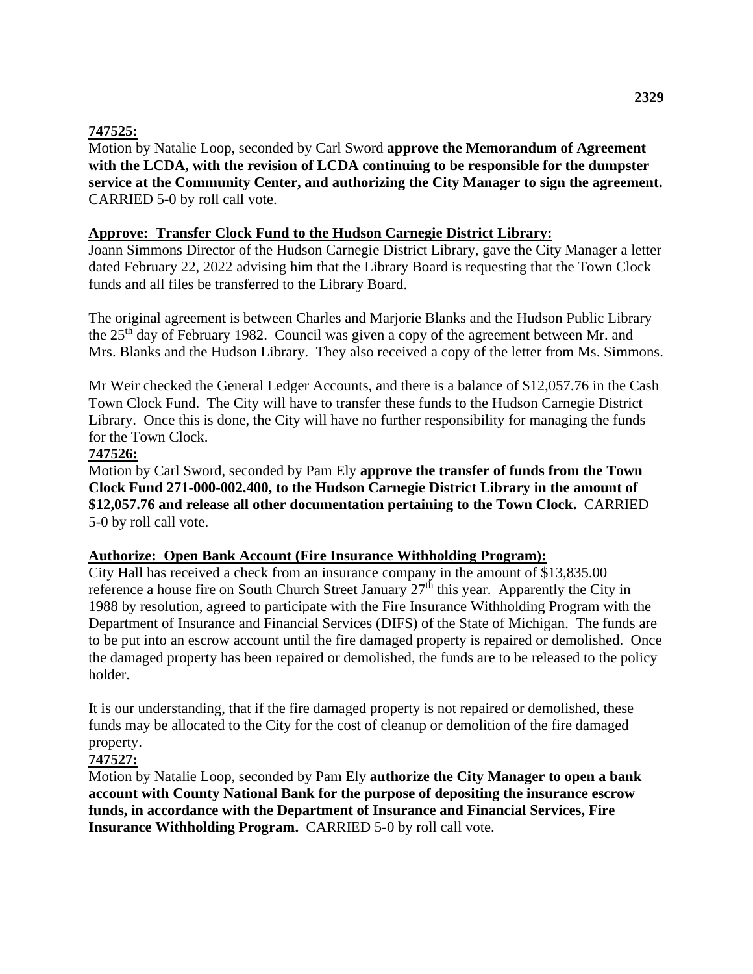## **747525:**

Motion by Natalie Loop, seconded by Carl Sword **approve the Memorandum of Agreement with the LCDA, with the revision of LCDA continuing to be responsible for the dumpster service at the Community Center, and authorizing the City Manager to sign the agreement.**  CARRIED 5-0 by roll call vote.

## **Approve: Transfer Clock Fund to the Hudson Carnegie District Library:**

Joann Simmons Director of the Hudson Carnegie District Library, gave the City Manager a letter dated February 22, 2022 advising him that the Library Board is requesting that the Town Clock funds and all files be transferred to the Library Board.

The original agreement is between Charles and Marjorie Blanks and the Hudson Public Library the 25<sup>th</sup> day of February 1982. Council was given a copy of the agreement between Mr. and Mrs. Blanks and the Hudson Library. They also received a copy of the letter from Ms. Simmons.

Mr Weir checked the General Ledger Accounts, and there is a balance of \$12,057.76 in the Cash Town Clock Fund. The City will have to transfer these funds to the Hudson Carnegie District Library. Once this is done, the City will have no further responsibility for managing the funds for the Town Clock.

### **747526:**

Motion by Carl Sword, seconded by Pam Ely **approve the transfer of funds from the Town Clock Fund 271-000-002.400, to the Hudson Carnegie District Library in the amount of \$12,057.76 and release all other documentation pertaining to the Town Clock.** CARRIED 5-0 by roll call vote.

### **Authorize: Open Bank Account (Fire Insurance Withholding Program):**

City Hall has received a check from an insurance company in the amount of \$13,835.00 reference a house fire on South Church Street January  $27<sup>th</sup>$  this year. Apparently the City in 1988 by resolution, agreed to participate with the Fire Insurance Withholding Program with the Department of Insurance and Financial Services (DIFS) of the State of Michigan. The funds are to be put into an escrow account until the fire damaged property is repaired or demolished. Once the damaged property has been repaired or demolished, the funds are to be released to the policy holder.

It is our understanding, that if the fire damaged property is not repaired or demolished, these funds may be allocated to the City for the cost of cleanup or demolition of the fire damaged property.

## **747527:**

Motion by Natalie Loop, seconded by Pam Ely **authorize the City Manager to open a bank account with County National Bank for the purpose of depositing the insurance escrow funds, in accordance with the Department of Insurance and Financial Services, Fire Insurance Withholding Program.** CARRIED 5-0 by roll call vote.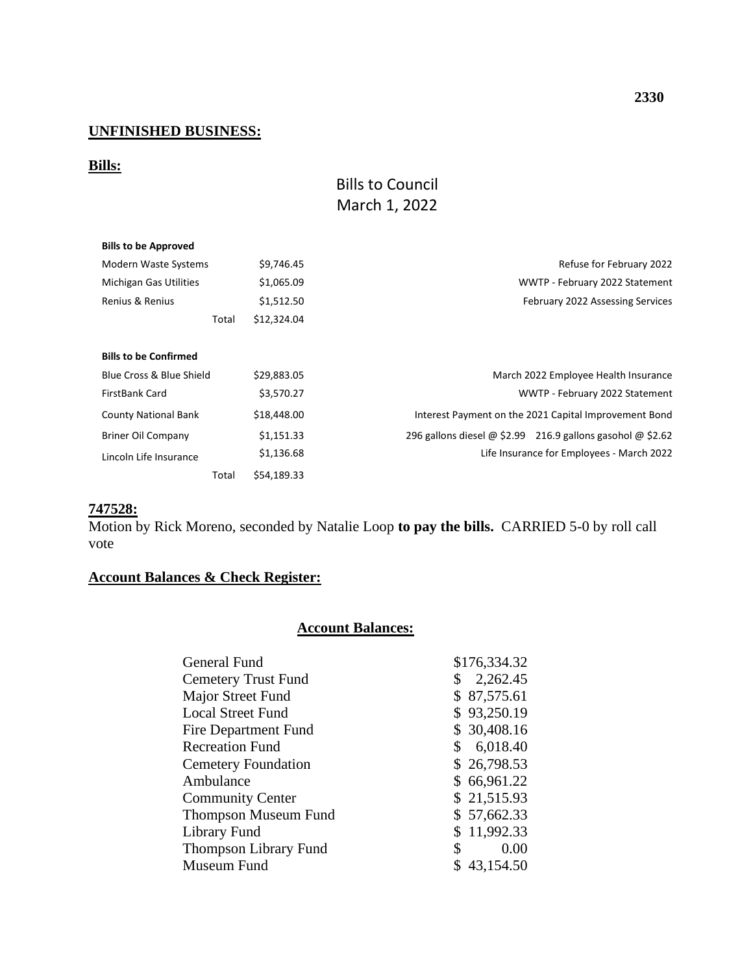## **UNFINISHED BUSINESS:**

## **Bills:**

|                               |             | <b>Bills to Council</b><br>March 1, 2022                   |  |  |
|-------------------------------|-------------|------------------------------------------------------------|--|--|
| <b>Bills to be Approved</b>   |             |                                                            |  |  |
| Modern Waste Systems          | \$9,746.45  | Refuse for February 2022                                   |  |  |
| <b>Michigan Gas Utilities</b> | \$1,065.09  | WWTP - February 2022 Statement                             |  |  |
| Renius & Renius               | \$1,512.50  | February 2022 Assessing Services                           |  |  |
| Total                         | \$12,324.04 |                                                            |  |  |
| <b>Bills to be Confirmed</b>  |             |                                                            |  |  |
| Blue Cross & Blue Shield      | \$29,883.05 | March 2022 Employee Health Insurance                       |  |  |
| FirstBank Card                | \$3,570.27  | WWTP - February 2022 Statement                             |  |  |
| <b>County National Bank</b>   | \$18,448.00 | Interest Payment on the 2021 Capital Improvement Bond      |  |  |
| <b>Briner Oil Company</b>     | \$1,151.33  | 296 gallons diesel @ \$2.99 216.9 gallons gasohol @ \$2.62 |  |  |
| Lincoln Life Insurance        | \$1,136.68  | Life Insurance for Employees - March 2022                  |  |  |
| Total                         | \$54,189.33 |                                                            |  |  |

### **747528:**

Motion by Rick Moreno, seconded by Natalie Loop **to pay the bills.** CARRIED 5-0 by roll call vote

# **Account Balances & Check Register:**

## **Account Balances:**

| <b>General Fund</b>         |                | \$176,334.32 |
|-----------------------------|----------------|--------------|
| <b>Cemetery Trust Fund</b>  |                | 2,262.45     |
| Major Street Fund           |                | \$87,575.61  |
| Local Street Fund           |                | \$93,250.19  |
| Fire Department Fund        |                | \$30,408.16  |
| <b>Recreation Fund</b>      | $\mathbb{S}^-$ | 6,018.40     |
| <b>Cemetery Foundation</b>  |                | \$26,798.53  |
| Ambulance                   |                | \$66,961.22  |
| <b>Community Center</b>     |                | \$21,515.93  |
| <b>Thompson Museum Fund</b> |                | \$57,662.33  |
| Library Fund                |                | \$11,992.33  |
| Thompson Library Fund       | \$             | 0.00         |
| Museum Fund                 |                | 43,154.50    |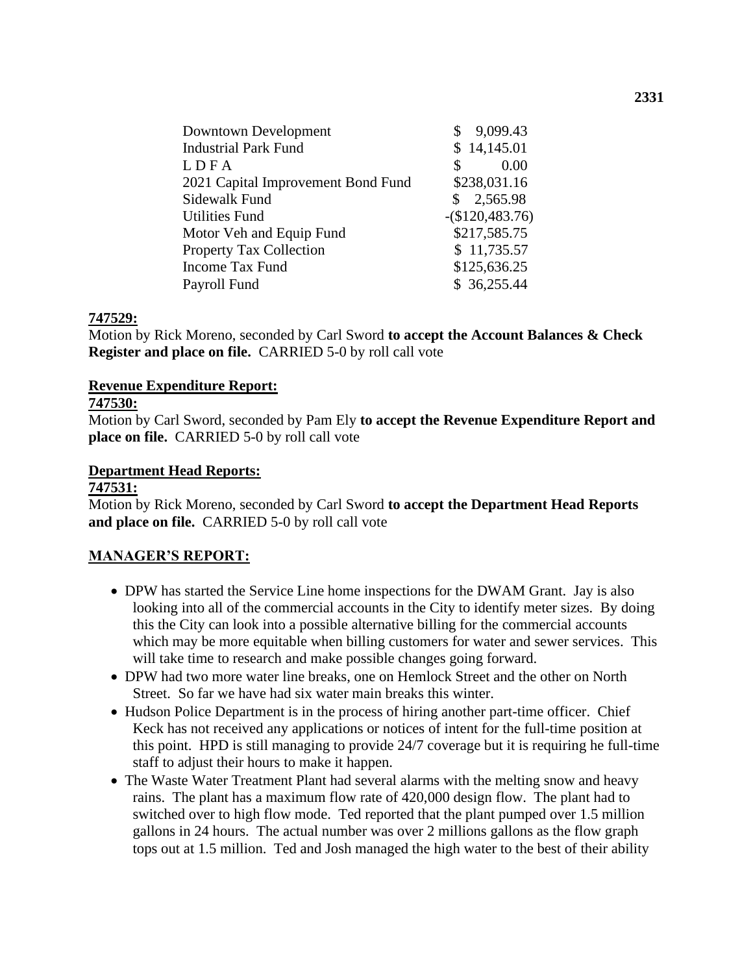| Downtown Development               | 9,099.43          |
|------------------------------------|-------------------|
| <b>Industrial Park Fund</b>        | \$14,145.01       |
| LDFA                               | S<br>0.00         |
| 2021 Capital Improvement Bond Fund | \$238,031.16      |
| Sidewalk Fund                      | 2,565.98          |
| <b>Utilities Fund</b>              | $-(\$120,483.76)$ |
| Motor Veh and Equip Fund           | \$217,585.75      |
| <b>Property Tax Collection</b>     | \$11,735.57       |
| <b>Income Tax Fund</b>             | \$125,636.25      |
| Payroll Fund                       | \$36,255.44       |

### **747529:**

Motion by Rick Moreno, seconded by Carl Sword **to accept the Account Balances & Check Register and place on file.** CARRIED 5-0 by roll call vote

### **Revenue Expenditure Report:**

## **747530:**

Motion by Carl Sword, seconded by Pam Ely **to accept the Revenue Expenditure Report and place on file.** CARRIED 5-0 by roll call vote

## **Department Head Reports:**

### **747531:**

Motion by Rick Moreno, seconded by Carl Sword **to accept the Department Head Reports and place on file.** CARRIED 5-0 by roll call vote

## **MANAGER'S REPORT:**

- DPW has started the Service Line home inspections for the DWAM Grant. Jay is also looking into all of the commercial accounts in the City to identify meter sizes. By doing this the City can look into a possible alternative billing for the commercial accounts which may be more equitable when billing customers for water and sewer services. This will take time to research and make possible changes going forward.
- DPW had two more water line breaks, one on Hemlock Street and the other on North Street. So far we have had six water main breaks this winter.
- Hudson Police Department is in the process of hiring another part-time officer. Chief Keck has not received any applications or notices of intent for the full-time position at this point. HPD is still managing to provide 24/7 coverage but it is requiring he full-time staff to adjust their hours to make it happen.
- The Waste Water Treatment Plant had several alarms with the melting snow and heavy rains. The plant has a maximum flow rate of 420,000 design flow. The plant had to switched over to high flow mode. Ted reported that the plant pumped over 1.5 million gallons in 24 hours. The actual number was over 2 millions gallons as the flow graph tops out at 1.5 million. Ted and Josh managed the high water to the best of their ability